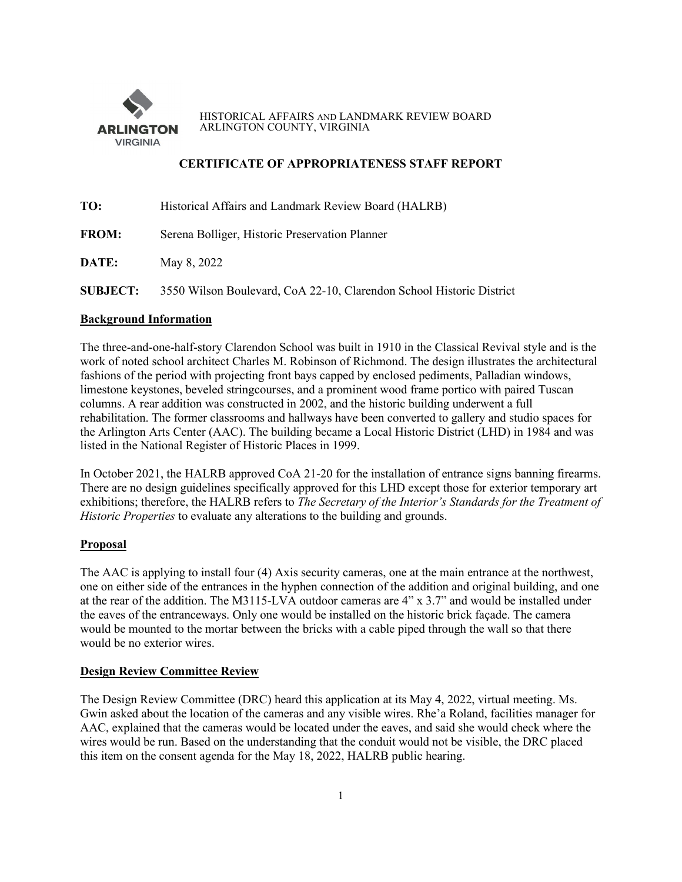

HISTORICAL AFFAIRS AND LANDMARK REVIEW BOARD ARLINGTON COUNTY, VIRGINIA

## **CERTIFICATE OF APPROPRIATENESS STAFF REPORT**

| TO:             | Historical Affairs and Landmark Review Board (HALRB)                 |
|-----------------|----------------------------------------------------------------------|
| <b>FROM:</b>    | Serena Bolliger, Historic Preservation Planner                       |
| DATE:           | May 8, 2022                                                          |
| <b>SUBJECT:</b> | 3550 Wilson Boulevard, CoA 22-10, Clarendon School Historic District |

# **Background Information**

The three-and-one-half-story Clarendon School was built in 1910 in the Classical Revival style and is the work of noted school architect Charles M. Robinson of Richmond. The design illustrates the architectural fashions of the period with projecting front bays capped by enclosed pediments, Palladian windows, limestone keystones, beveled stringcourses, and a prominent wood frame portico with paired Tuscan columns. A rear addition was constructed in 2002, and the historic building underwent a full rehabilitation. The former classrooms and hallways have been converted to gallery and studio spaces for the Arlington Arts Center (AAC). The building became a Local Historic District (LHD) in 1984 and was listed in the National Register of Historic Places in 1999.

In October 2021, the HALRB approved CoA 21-20 for the installation of entrance signs banning firearms. There are no design guidelines specifically approved for this LHD except those for exterior temporary art exhibitions; therefore, the HALRB refers to *The Secretary of the Interior's Standards for the Treatment of Historic Properties* to evaluate any alterations to the building and grounds.

## **Proposal**

The AAC is applying to install four (4) Axis security cameras, one at the main entrance at the northwest, one on either side of the entrances in the hyphen connection of the addition and original building, and one at the rear of the addition. The M3115-LVA outdoor cameras are 4" x 3.7" and would be installed under the eaves of the entranceways. Only one would be installed on the historic brick façade. The camera would be mounted to the mortar between the bricks with a cable piped through the wall so that there would be no exterior wires.

## **Design Review Committee Review**

The Design Review Committee (DRC) heard this application at its May 4, 2022, virtual meeting. Ms. Gwin asked about the location of the cameras and any visible wires. Rhe'a Roland, facilities manager for AAC, explained that the cameras would be located under the eaves, and said she would check where the wires would be run. Based on the understanding that the conduit would not be visible, the DRC placed this item on the consent agenda for the May 18, 2022, HALRB public hearing.